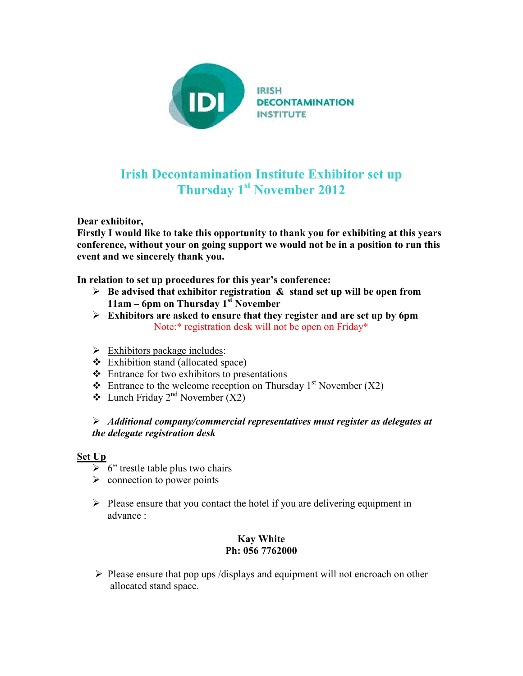

## **Irish Decontamination Institute Exhibitor set up Thursday 1st November 2012**

**Dear exhibitor,** 

**Firstly I would like to take this opportunity to thank you for exhibiting at this years conference, without your on going support we would not be in a position to run this event and we sincerely thank you.** 

**In relation to set up procedures for this year's conference:** 

- **Be advised that exhibitor registration & stand set up will be open from 11am – 6pm on Thursday 1st November**
- **Exhibitors are asked to ensure that they register and are set up by 6pm**  Note:\* registration desk will not be open on Friday\*
- $\triangleright$  Exhibitors package includes:
- \* Exhibition stand (allocated space)
- Entrance for two exhibitors to presentations
- $\triangleleft$  Entrance to the welcome reception on Thursday 1<sup>st</sup> November (X2)
- $\triangleleft$  Lunch Friday 2<sup>nd</sup> November (X2)

## *Additional company/commercial representatives must register as delegates at the delegate registration desk*

## **Set Up**

- $\triangleright$  6" trestle table plus two chairs
- $\triangleright$  connection to power points
- $\triangleright$  Please ensure that you contact the hotel if you are delivering equipment in advance :

## **Kay White Ph: 056 7762000**

 $\triangleright$  Please ensure that pop ups /displays and equipment will not encroach on other allocated stand space.